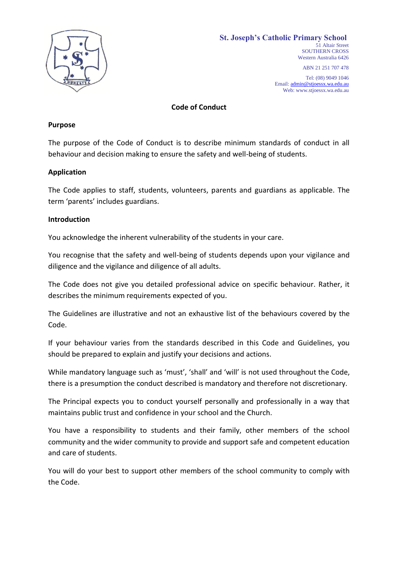

ABN 21 251 707 478

Tel: (08) 9049 1046 Email[: admin@stjoessx.wa.edu.au](mailto:admin@stjoessx.wa.edu.au) Web: www.stjoessx.wa.edu.au

**Code of Conduct**

#### **Purpose**

The purpose of the Code of Conduct is to describe minimum standards of conduct in all behaviour and decision making to ensure the safety and well-being of students.

#### **Application**

The Code applies to staff, students, volunteers, parents and guardians as applicable. The term 'parents' includes guardians.

#### **Introduction**

You acknowledge the inherent vulnerability of the students in your care.

You recognise that the safety and well-being of students depends upon your vigilance and diligence and the vigilance and diligence of all adults.

The Code does not give you detailed professional advice on specific behaviour. Rather, it describes the minimum requirements expected of you.

The Guidelines are illustrative and not an exhaustive list of the behaviours covered by the Code.

If your behaviour varies from the standards described in this Code and Guidelines, you should be prepared to explain and justify your decisions and actions.

While mandatory language such as 'must', 'shall' and 'will' is not used throughout the Code, there is a presumption the conduct described is mandatory and therefore not discretionary.

The Principal expects you to conduct yourself personally and professionally in a way that maintains public trust and confidence in your school and the Church.

You have a responsibility to students and their family, other members of the school community and the wider community to provide and support safe and competent education and care of students.

You will do your best to support other members of the school community to comply with the Code.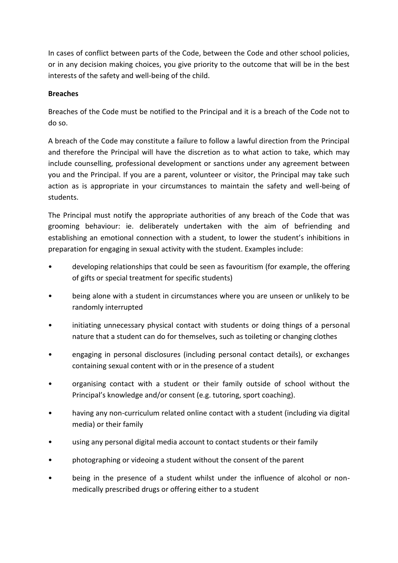In cases of conflict between parts of the Code, between the Code and other school policies, or in any decision making choices, you give priority to the outcome that will be in the best interests of the safety and well-being of the child.

### **Breaches**

Breaches of the Code must be notified to the Principal and it is a breach of the Code not to do so.

A breach of the Code may constitute a failure to follow a lawful direction from the Principal and therefore the Principal will have the discretion as to what action to take, which may include counselling, professional development or sanctions under any agreement between you and the Principal. If you are a parent, volunteer or visitor, the Principal may take such action as is appropriate in your circumstances to maintain the safety and well-being of students.

The Principal must notify the appropriate authorities of any breach of the Code that was grooming behaviour: ie. deliberately undertaken with the aim of befriending and establishing an emotional connection with a student, to lower the student's inhibitions in preparation for engaging in sexual activity with the student. Examples include:

- developing relationships that could be seen as favouritism (for example, the offering of gifts or special treatment for specific students)
- being alone with a student in circumstances where you are unseen or unlikely to be randomly interrupted
- initiating unnecessary physical contact with students or doing things of a personal nature that a student can do for themselves, such as toileting or changing clothes
- engaging in personal disclosures (including personal contact details), or exchanges containing sexual content with or in the presence of a student
- organising contact with a student or their family outside of school without the Principal's knowledge and/or consent (e.g. tutoring, sport coaching).
- having any non-curriculum related online contact with a student (including via digital media) or their family
- using any personal digital media account to contact students or their family
- photographing or videoing a student without the consent of the parent
- being in the presence of a student whilst under the influence of alcohol or nonmedically prescribed drugs or offering either to a student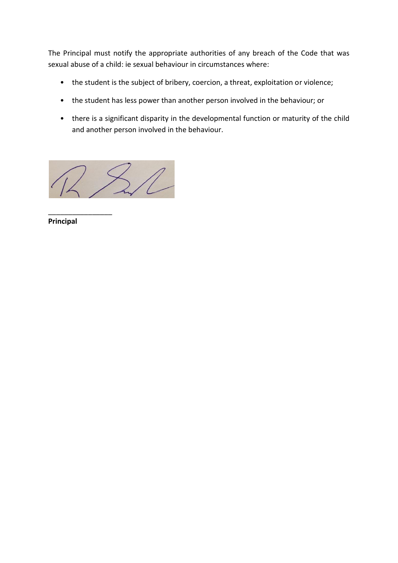The Principal must notify the appropriate authorities of any breach of the Code that was sexual abuse of a child: ie sexual behaviour in circumstances where:

- the student is the subject of bribery, coercion, a threat, exploitation or violence;
- the student has less power than another person involved in the behaviour; or
- there is a significant disparity in the developmental function or maturity of the child and another person involved in the behaviour.

 $\sqrt{\ell}$ 

 $\overline{\phantom{a}}$  , where  $\overline{\phantom{a}}$ **Principal**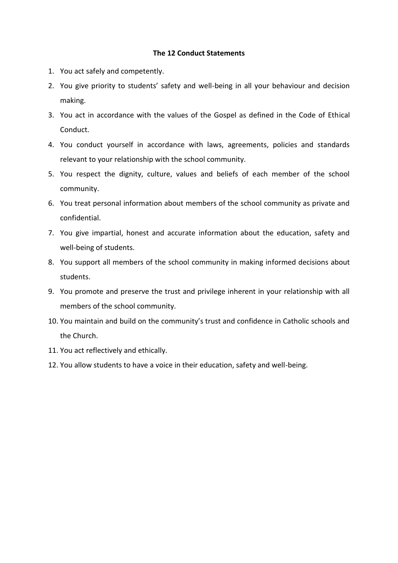#### **The 12 Conduct Statements**

- 1. You act safely and competently.
- 2. You give priority to students' safety and well-being in all your behaviour and decision making.
- 3. You act in accordance with the values of the Gospel as defined in the Code of Ethical Conduct.
- 4. You conduct yourself in accordance with laws, agreements, policies and standards relevant to your relationship with the school community.
- 5. You respect the dignity, culture, values and beliefs of each member of the school community.
- 6. You treat personal information about members of the school community as private and confidential.
- 7. You give impartial, honest and accurate information about the education, safety and well-being of students.
- 8. You support all members of the school community in making informed decisions about students.
- 9. You promote and preserve the trust and privilege inherent in your relationship with all members of the school community.
- 10. You maintain and build on the community's trust and confidence in Catholic schools and the Church.
- 11. You act reflectively and ethically.
- 12. You allow students to have a voice in their education, safety and well-being.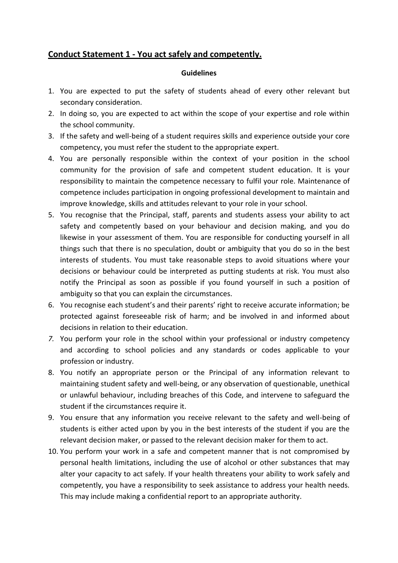### **Conduct Statement 1 - You act safely and competently.**

- 1. You are expected to put the safety of students ahead of every other relevant but secondary consideration.
- 2. In doing so, you are expected to act within the scope of your expertise and role within the school community.
- 3. If the safety and well-being of a student requires skills and experience outside your core competency, you must refer the student to the appropriate expert.
- 4. You are personally responsible within the context of your position in the school community for the provision of safe and competent student education. It is your responsibility to maintain the competence necessary to fulfil your role. Maintenance of competence includes participation in ongoing professional development to maintain and improve knowledge, skills and attitudes relevant to your role in your school.
- 5. You recognise that the Principal, staff, parents and students assess your ability to act safety and competently based on your behaviour and decision making, and you do likewise in your assessment of them. You are responsible for conducting yourself in all things such that there is no speculation, doubt or ambiguity that you do so in the best interests of students. You must take reasonable steps to avoid situations where your decisions or behaviour could be interpreted as putting students at risk. You must also notify the Principal as soon as possible if you found yourself in such a position of ambiguity so that you can explain the circumstances.
- 6. You recognise each student's and their parents' right to receive accurate information; be protected against foreseeable risk of harm; and be involved in and informed about decisions in relation to their education.
- *7.* You perform your role in the school within your professional or industry competency and according to school policies and any standards or codes applicable to your profession or industry.
- 8. You notify an appropriate person or the Principal of any information relevant to maintaining student safety and well-being, or any observation of questionable, unethical or unlawful behaviour, including breaches of this Code, and intervene to safeguard the student if the circumstances require it.
- 9. You ensure that any information you receive relevant to the safety and well-being of students is either acted upon by you in the best interests of the student if you are the relevant decision maker, or passed to the relevant decision maker for them to act.
- 10. You perform your work in a safe and competent manner that is not compromised by personal health limitations, including the use of alcohol or other substances that may alter your capacity to act safely. If your health threatens your ability to work safely and competently, you have a responsibility to seek assistance to address your health needs. This may include making a confidential report to an appropriate authority.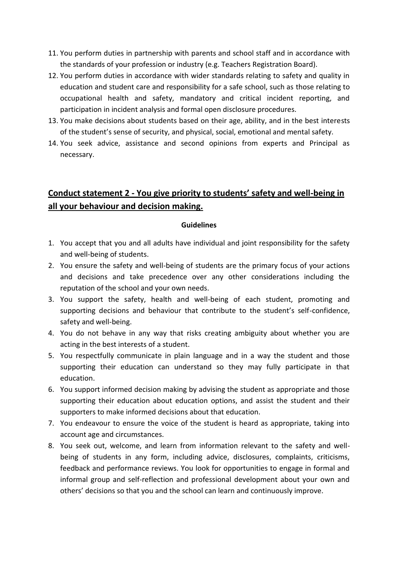- 11. You perform duties in partnership with parents and school staff and in accordance with the standards of your profession or industry (e.g. Teachers Registration Board).
- 12. You perform duties in accordance with wider standards relating to safety and quality in education and student care and responsibility for a safe school, such as those relating to occupational health and safety, mandatory and critical incident reporting, and participation in incident analysis and formal open disclosure procedures.
- 13. You make decisions about students based on their age, ability, and in the best interests of the student's sense of security, and physical, social, emotional and mental safety.
- 14. You seek advice, assistance and second opinions from experts and Principal as necessary.

## **Conduct statement 2 - You give priority to students' safety and well-being in all your behaviour and decision making.**

- 1. You accept that you and all adults have individual and joint responsibility for the safety and well-being of students.
- 2. You ensure the safety and well-being of students are the primary focus of your actions and decisions and take precedence over any other considerations including the reputation of the school and your own needs.
- 3. You support the safety, health and well-being of each student, promoting and supporting decisions and behaviour that contribute to the student's self-confidence, safety and well-being.
- 4. You do not behave in any way that risks creating ambiguity about whether you are acting in the best interests of a student.
- 5. You respectfully communicate in plain language and in a way the student and those supporting their education can understand so they may fully participate in that education.
- 6. You support informed decision making by advising the student as appropriate and those supporting their education about education options, and assist the student and their supporters to make informed decisions about that education.
- 7. You endeavour to ensure the voice of the student is heard as appropriate, taking into account age and circumstances.
- 8. You seek out, welcome, and learn from information relevant to the safety and wellbeing of students in any form, including advice, disclosures, complaints, criticisms, feedback and performance reviews. You look for opportunities to engage in formal and informal group and self-reflection and professional development about your own and others' decisions so that you and the school can learn and continuously improve.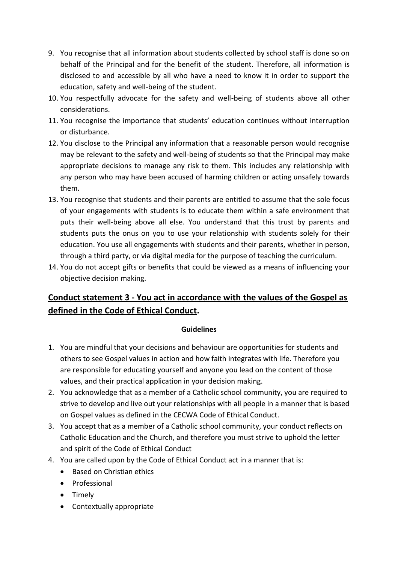- 9. You recognise that all information about students collected by school staff is done so on behalf of the Principal and for the benefit of the student. Therefore, all information is disclosed to and accessible by all who have a need to know it in order to support the education, safety and well-being of the student.
- 10. You respectfully advocate for the safety and well-being of students above all other considerations.
- 11. You recognise the importance that students' education continues without interruption or disturbance.
- 12. You disclose to the Principal any information that a reasonable person would recognise may be relevant to the safety and well-being of students so that the Principal may make appropriate decisions to manage any risk to them. This includes any relationship with any person who may have been accused of harming children or acting unsafely towards them.
- 13. You recognise that students and their parents are entitled to assume that the sole focus of your engagements with students is to educate them within a safe environment that puts their well-being above all else. You understand that this trust by parents and students puts the onus on you to use your relationship with students solely for their education. You use all engagements with students and their parents, whether in person, through a third party, or via digital media for the purpose of teaching the curriculum.
- 14. You do not accept gifts or benefits that could be viewed as a means of influencing your objective decision making.

# **Conduct statement 3 - You act in accordance with the values of the Gospel as defined in the Code of Ethical Conduct.**

- 1. You are mindful that your decisions and behaviour are opportunities for students and others to see Gospel values in action and how faith integrates with life. Therefore you are responsible for educating yourself and anyone you lead on the content of those values, and their practical application in your decision making.
- 2. You acknowledge that as a member of a Catholic school community, you are required to strive to develop and live out your relationships with all people in a manner that is based on Gospel values as defined in the CECWA Code of Ethical Conduct.
- 3. You accept that as a member of a Catholic school community, your conduct reflects on Catholic Education and the Church, and therefore you must strive to uphold the letter and spirit of the Code of Ethical Conduct
- 4. You are called upon by the Code of Ethical Conduct act in a manner that is:
	- Based on Christian ethics
	- Professional
	- Timely
	- Contextually appropriate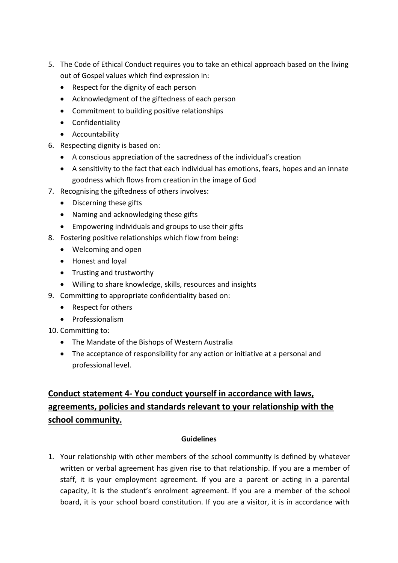- 5. The Code of Ethical Conduct requires you to take an ethical approach based on the living out of Gospel values which find expression in:
	- Respect for the dignity of each person
	- Acknowledgment of the giftedness of each person
	- Commitment to building positive relationships
	- Confidentiality
	- Accountability
- 6. Respecting dignity is based on:
	- A conscious appreciation of the sacredness of the individual's creation
	- A sensitivity to the fact that each individual has emotions, fears, hopes and an innate goodness which flows from creation in the image of God
- 7. Recognising the giftedness of others involves:
	- Discerning these gifts
	- Naming and acknowledging these gifts
	- Empowering individuals and groups to use their gifts
- 8. Fostering positive relationships which flow from being:
	- Welcoming and open
	- Honest and loyal
	- Trusting and trustworthy
	- Willing to share knowledge, skills, resources and insights
- 9. Committing to appropriate confidentiality based on:
	- Respect for others
	- Professionalism
- 10. Committing to:
	- The Mandate of the Bishops of Western Australia
	- The acceptance of responsibility for any action or initiative at a personal and professional level.

# **Conduct statement 4- You conduct yourself in accordance with laws, agreements, policies and standards relevant to your relationship with the school community.**

### **Guidelines**

1. Your relationship with other members of the school community is defined by whatever written or verbal agreement has given rise to that relationship. If you are a member of staff, it is your employment agreement. If you are a parent or acting in a parental capacity, it is the student's enrolment agreement. If you are a member of the school board, it is your school board constitution. If you are a visitor, it is in accordance with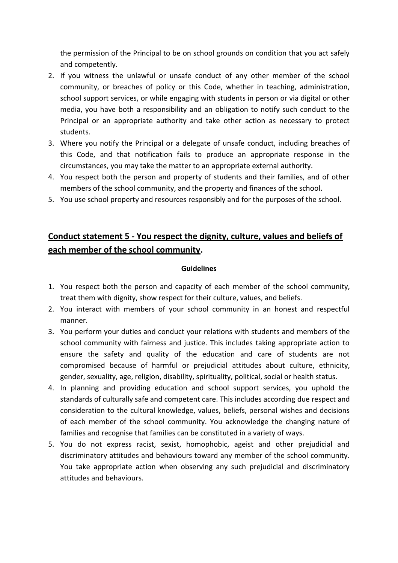the permission of the Principal to be on school grounds on condition that you act safely and competently.

- 2. If you witness the unlawful or unsafe conduct of any other member of the school community, or breaches of policy or this Code, whether in teaching, administration, school support services, or while engaging with students in person or via digital or other media, you have both a responsibility and an obligation to notify such conduct to the Principal or an appropriate authority and take other action as necessary to protect students.
- 3. Where you notify the Principal or a delegate of unsafe conduct, including breaches of this Code, and that notification fails to produce an appropriate response in the circumstances, you may take the matter to an appropriate external authority.
- 4. You respect both the person and property of students and their families, and of other members of the school community, and the property and finances of the school.
- 5. You use school property and resources responsibly and for the purposes of the school.

# **Conduct statement 5 - You respect the dignity, culture, values and beliefs of each member of the school community.**

- 1. You respect both the person and capacity of each member of the school community, treat them with dignity, show respect for their culture, values, and beliefs.
- 2. You interact with members of your school community in an honest and respectful manner.
- 3. You perform your duties and conduct your relations with students and members of the school community with fairness and justice. This includes taking appropriate action to ensure the safety and quality of the education and care of students are not compromised because of harmful or prejudicial attitudes about culture, ethnicity, gender, sexuality, age, religion, disability, spirituality, political, social or health status.
- 4. In planning and providing education and school support services, you uphold the standards of culturally safe and competent care. This includes according due respect and consideration to the cultural knowledge, values, beliefs, personal wishes and decisions of each member of the school community. You acknowledge the changing nature of families and recognise that families can be constituted in a variety of ways.
- 5. You do not express racist, sexist, homophobic, ageist and other prejudicial and discriminatory attitudes and behaviours toward any member of the school community. You take appropriate action when observing any such prejudicial and discriminatory attitudes and behaviours.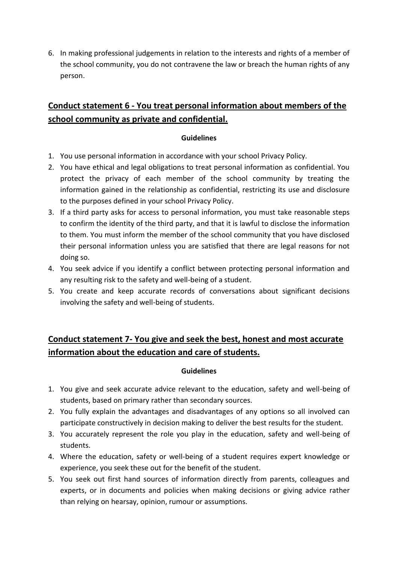6. In making professional judgements in relation to the interests and rights of a member of the school community, you do not contravene the law or breach the human rights of any person.

## **Conduct statement 6 - You treat personal information about members of the school community as private and confidential.**

### **Guidelines**

- 1. You use personal information in accordance with your school Privacy Policy.
- 2. You have ethical and legal obligations to treat personal information as confidential. You protect the privacy of each member of the school community by treating the information gained in the relationship as confidential, restricting its use and disclosure to the purposes defined in your school Privacy Policy.
- 3. If a third party asks for access to personal information, you must take reasonable steps to confirm the identity of the third party, and that it is lawful to disclose the information to them. You must inform the member of the school community that you have disclosed their personal information unless you are satisfied that there are legal reasons for not doing so.
- 4. You seek advice if you identify a conflict between protecting personal information and any resulting risk to the safety and well-being of a student.
- 5. You create and keep accurate records of conversations about significant decisions involving the safety and well-being of students.

## **Conduct statement 7- You give and seek the best, honest and most accurate information about the education and care of students.**

- 1. You give and seek accurate advice relevant to the education, safety and well-being of students, based on primary rather than secondary sources.
- 2. You fully explain the advantages and disadvantages of any options so all involved can participate constructively in decision making to deliver the best results for the student.
- 3. You accurately represent the role you play in the education, safety and well-being of students.
- 4. Where the education, safety or well-being of a student requires expert knowledge or experience, you seek these out for the benefit of the student.
- 5. You seek out first hand sources of information directly from parents, colleagues and experts, or in documents and policies when making decisions or giving advice rather than relying on hearsay, opinion, rumour or assumptions.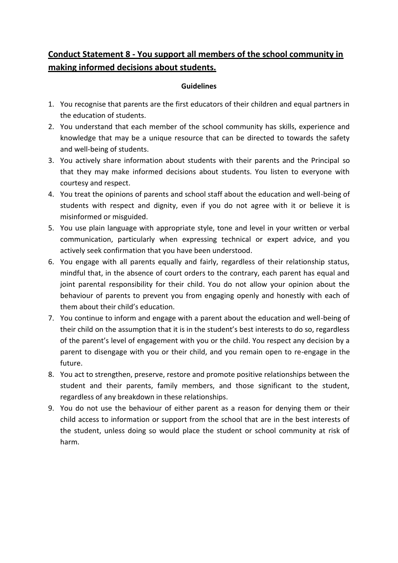## **Conduct Statement 8 - You support all members of the school community in making informed decisions about students.**

- 1. You recognise that parents are the first educators of their children and equal partners in the education of students.
- 2. You understand that each member of the school community has skills, experience and knowledge that may be a unique resource that can be directed to towards the safety and well-being of students.
- 3. You actively share information about students with their parents and the Principal so that they may make informed decisions about students. You listen to everyone with courtesy and respect.
- 4. You treat the opinions of parents and school staff about the education and well-being of students with respect and dignity, even if you do not agree with it or believe it is misinformed or misguided.
- 5. You use plain language with appropriate style, tone and level in your written or verbal communication, particularly when expressing technical or expert advice, and you actively seek confirmation that you have been understood.
- 6. You engage with all parents equally and fairly, regardless of their relationship status, mindful that, in the absence of court orders to the contrary, each parent has equal and joint parental responsibility for their child. You do not allow your opinion about the behaviour of parents to prevent you from engaging openly and honestly with each of them about their child's education.
- 7. You continue to inform and engage with a parent about the education and well-being of their child on the assumption that it is in the student's best interests to do so, regardless of the parent's level of engagement with you or the child. You respect any decision by a parent to disengage with you or their child, and you remain open to re-engage in the future.
- 8. You act to strengthen, preserve, restore and promote positive relationships between the student and their parents, family members, and those significant to the student, regardless of any breakdown in these relationships.
- 9. You do not use the behaviour of either parent as a reason for denying them or their child access to information or support from the school that are in the best interests of the student, unless doing so would place the student or school community at risk of harm.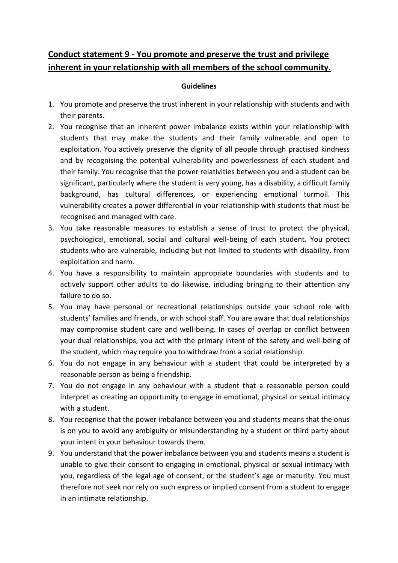## **Conduct statement 9 - You promote and preserve the trust and privilege inherent in your relationship with all members of the school community.**

- 1. You promote and preserve the trust inherent in your relationship with students and with their parents.
- 2. You recognise that an inherent power imbalance exists within your relationship with students that may make the students and their family vulnerable and open to exploitation. You actively preserve the dignity of all people through practised kindness and by recognising the potential vulnerability and powerlessness of each student and their family. You recognise that the power relativities between you and a student can be significant, particularly where the student is very young, has a disability, a difficult family background, has cultural differences, or experiencing emotional turmoil. This vulnerability creates a power differential in your relationship with students that must be recognised and managed with care.
- 3. You take reasonable measures to establish a sense of trust to protect the physical, psychological, emotional, social and cultural well-being of each student. You protect students who are vulnerable, including but not limited to students with disability, from exploitation and harm.
- 4. You have a responsibility to maintain appropriate boundaries with students and to actively support other adults to do likewise, including bringing to their attention any failure to do so.
- 5. You may have personal or recreational relationships outside your school role with students' families and friends, or with school staff. You are aware that dual relationships may compromise student care and well-being. In cases of overlap or conflict between your dual relationships, you act with the primary intent of the safety and well-being of the student, which may require you to withdraw from a social relationship.
- 6. You do not engage in any behaviour with a student that could be interpreted by a reasonable person as being a friendship.
- 7. You do not engage in any behaviour with a student that a reasonable person could interpret as creating an opportunity to engage in emotional, physical or sexual intimacy with a student.
- 8. You recognise that the power imbalance between you and students means that the onus is on you to avoid any ambiguity or misunderstanding by a student or third party about your intent in your behaviour towards them.
- 9. You understand that the power imbalance between you and students means a student is unable to give their consent to engaging in emotional, physical or sexual intimacy with you, regardless of the legal age of consent, or the student's age or maturity. You must therefore not seek nor rely on such express or implied consent from a student to engage in an intimate relationship.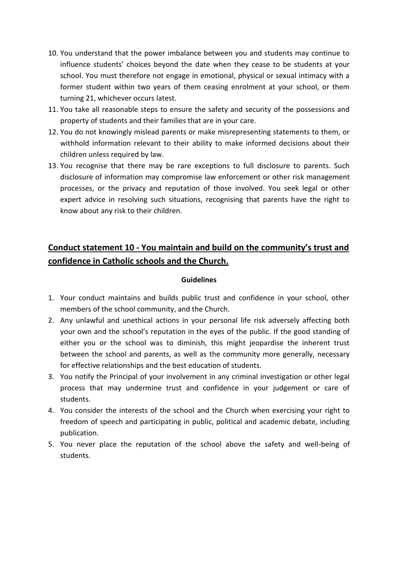- 10. You understand that the power imbalance between you and students may continue to influence students' choices beyond the date when they cease to be students at your school. You must therefore not engage in emotional, physical or sexual intimacy with a former student within two years of them ceasing enrolment at your school, or them turning 21, whichever occurs latest.
- 11. You take all reasonable steps to ensure the safety and security of the possessions and property of students and their families that are in your care.
- 12. You do not knowingly mislead parents or make misrepresenting statements to them, or withhold information relevant to their ability to make informed decisions about their children unless required by law.
- 13. You recognise that there may be rare exceptions to full disclosure to parents. Such disclosure of information may compromise law enforcement or other risk management processes, or the privacy and reputation of those involved. You seek legal or other expert advice in resolving such situations, recognising that parents have the right to know about any risk to their children.

# **Conduct statement 10 - You maintain and build on the community's trust and confidence in Catholic schools and the Church.**

- 1. Your conduct maintains and builds public trust and confidence in your school, other members of the school community, and the Church.
- 2. Any unlawful and unethical actions in your personal life risk adversely affecting both your own and the school's reputation in the eyes of the public. If the good standing of either you or the school was to diminish, this might jeopardise the inherent trust between the school and parents, as well as the community more generally, necessary for effective relationships and the best education of students.
- 3. You notify the Principal of your involvement in any criminal investigation or other legal process that may undermine trust and confidence in your judgement or care of students.
- 4. You consider the interests of the school and the Church when exercising your right to freedom of speech and participating in public, political and academic debate, including publication.
- 5. You never place the reputation of the school above the safety and well-being of students.